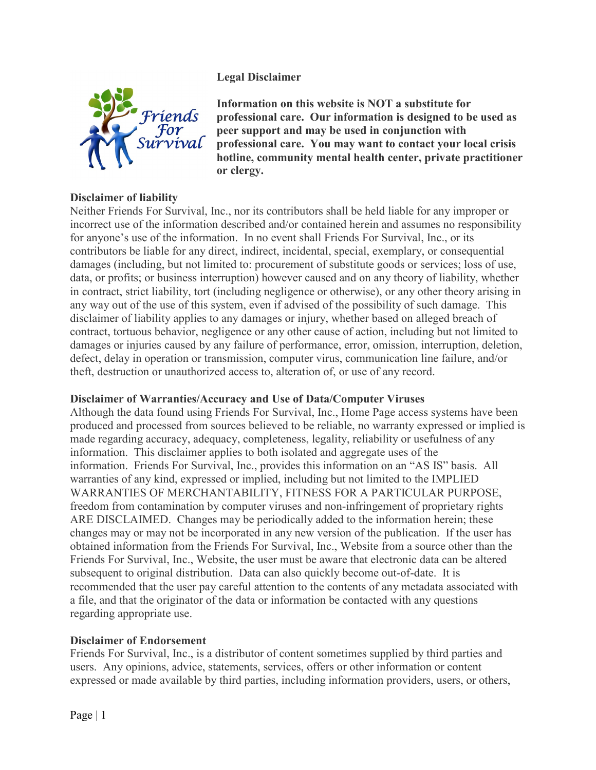

# **Legal Disclaimer**

**Information on this website is NOT a substitute for professional care. Our information is designed to be used as peer support and may be used in conjunction with professional care. You may want to contact your local crisis hotline, community mental health center, private practitioner or clergy.**

## **Disclaimer of liability**

Neither Friends For Survival, Inc., nor its contributors shall be held liable for any improper or incorrect use of the information described and/or contained herein and assumes no responsibility for anyone's use of the information. In no event shall Friends For Survival, Inc., or its contributors be liable for any direct, indirect, incidental, special, exemplary, or consequential damages (including, but not limited to: procurement of substitute goods or services; loss of use, data, or profits; or business interruption) however caused and on any theory of liability, whether in contract, strict liability, tort (including negligence or otherwise), or any other theory arising in any way out of the use of this system, even if advised of the possibility of such damage. This disclaimer of liability applies to any damages or injury, whether based on alleged breach of contract, tortuous behavior, negligence or any other cause of action, including but not limited to damages or injuries caused by any failure of performance, error, omission, interruption, deletion, defect, delay in operation or transmission, computer virus, communication line failure, and/or theft, destruction or unauthorized access to, alteration of, or use of any record.

### **Disclaimer of Warranties/Accuracy and Use of Data/Computer Viruses**

Although the data found using Friends For Survival, Inc., Home Page access systems have been produced and processed from sources believed to be reliable, no warranty expressed or implied is made regarding accuracy, adequacy, completeness, legality, reliability or usefulness of any information. This disclaimer applies to both isolated and aggregate uses of the information. Friends For Survival, Inc., provides this information on an "AS IS" basis. All warranties of any kind, expressed or implied, including but not limited to the IMPLIED WARRANTIES OF MERCHANTABILITY, FITNESS FOR A PARTICULAR PURPOSE, freedom from contamination by computer viruses and non-infringement of proprietary rights ARE DISCLAIMED. Changes may be periodically added to the information herein; these changes may or may not be incorporated in any new version of the publication. If the user has obtained information from the Friends For Survival, Inc., Website from a source other than the Friends For Survival, Inc., Website, the user must be aware that electronic data can be altered subsequent to original distribution. Data can also quickly become out-of-date. It is recommended that the user pay careful attention to the contents of any metadata associated with a file, and that the originator of the data or information be contacted with any questions regarding appropriate use.

### **Disclaimer of Endorsement**

Friends For Survival, Inc., is a distributor of content sometimes supplied by third parties and users. Any opinions, advice, statements, services, offers or other information or content expressed or made available by third parties, including information providers, users, or others,